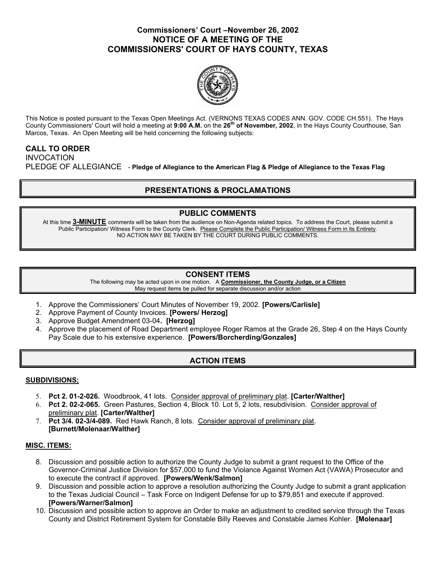## **Commissioners' Court –November 26, 2002 NOTICE OF A MEETING OF THE COMMISSIONERS' COURT OF HAYS COUNTY, TEXAS**



This Notice is posted pursuant to the Texas Open Meetings Act. (VERNONS TEXAS CODES ANN. GOV. CODE CH.551). The Hays County Commissioners' Court will hold a meeting at **9:00 A.M.** on the **26th of November, 2002**, in the Hays County Courthouse, San Marcos, Texas. An Open Meeting will be held concerning the following subjects:

## **CALL TO ORDER**

INVOCATION PLEDGE OF ALLEGIANCE - **Pledge of Allegiance to the American Flag & Pledge of Allegiance to the Texas Flag** 

# **PRESENTATIONS & PROCLAMATIONS**

## **PUBLIC COMMENTS**

At this time **3-MINUTE** comments will be taken from the audience on Non-Agenda related topics. To address the Court, please submit a Public Participation/ Witness Form to the County Clerk. Please Complete the Public Participation/ Witness Form in its Entirety. NO ACTION MAY BE TAKEN BY THE COURT DURING PUBLIC COMMENTS.

### **CONSENT ITEMS**

The following may be acted upon in one motion. A **Commissioner, the County Judge, or a Citizen** May request items be pulled for separate discussion and/or action

- 1. Approve the Commissioners' Court Minutes of November 19, 2002. **[Powers/Carlisle]**
- 2. Approve Payment of County Invoices. **[Powers/ Herzog]**
- 3. Approve Budget Amendment 03-04**. [Herzog]**
- 4. Approve the placement of Road Department employee Roger Ramos at the Grade 26, Step 4 on the Hays County Pay Scale due to his extensive experience. **[Powers/Borcherding/Gonzales]**

# **ACTION ITEMS**

### **SUBDIVISIONS;**

- 5. **Pct 2. 01-2-026.** Woodbrook, 41 lots. Consider approval of preliminary plat. **[Carter/Walther]**
- 6. **Pct 2. 02-2-065.** Green Pastures, Section 4, Block 10. Lot 5, 2 lots, resubdivision. Consider approval of preliminary plat. **[Carter/Walther]**
- 7. **Pct 3/4. 02-3/4-089.** Red Hawk Ranch, 8 lots. Consider approval of preliminary plat. **[Burnett/Molenaar/Walther]**

### **MISC. ITEMS:**

- 8. Discussion and possible action to authorize the County Judge to submit a grant request to the Office of the Governor-Criminal Justice Division for \$57,000 to fund the Violance Against Women Act (VAWA) Prosecutor and to execute the contract if approved. **[Powers/Wenk/Salmon]**
- 9. Discussion and possible action to approve a resolution authorizing the County Judge to submit a grant application to the Texas Judicial Council – Task Force on Indigent Defense for up to \$79,851 and execute if approved. **[Powers/Warner/Salmon]**
- 10. Discussion and possible action to approve an Order to make an adjustment to credited service through the Texas County and District Retirement System for Constable Billy Reeves and Constable James Kohler. **[Molenaar]**